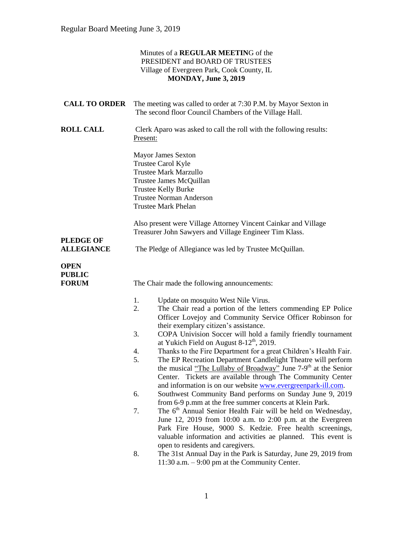|                                       | Minutes of a REGULAR MEETING of the<br>PRESIDENT and BOARD OF TRUSTEES<br>Village of Evergreen Park, Cook County, IL<br>MONDAY, June 3, 2019                                                                                                                                                                                                               |
|---------------------------------------|------------------------------------------------------------------------------------------------------------------------------------------------------------------------------------------------------------------------------------------------------------------------------------------------------------------------------------------------------------|
| <b>CALL TO ORDER</b>                  | The meeting was called to order at 7:30 P.M. by Mayor Sexton in<br>The second floor Council Chambers of the Village Hall.                                                                                                                                                                                                                                  |
| <b>ROLL CALL</b>                      | Clerk Aparo was asked to call the roll with the following results:<br>Present:                                                                                                                                                                                                                                                                             |
|                                       | <b>Mayor James Sexton</b><br>Trustee Carol Kyle<br><b>Trustee Mark Marzullo</b><br>Trustee James McQuillan<br><b>Trustee Kelly Burke</b><br><b>Trustee Norman Anderson</b><br><b>Trustee Mark Phelan</b>                                                                                                                                                   |
| <b>PLEDGE OF</b><br><b>ALLEGIANCE</b> | Also present were Village Attorney Vincent Cainkar and Village<br>Treasurer John Sawyers and Village Engineer Tim Klass.<br>The Pledge of Allegiance was led by Trustee McQuillan.                                                                                                                                                                         |
| OPEN<br><b>PUBLIC</b><br><b>FORUM</b> | The Chair made the following announcements:                                                                                                                                                                                                                                                                                                                |
|                                       | Update on mosquito West Nile Virus.<br>1.<br>2.<br>The Chair read a portion of the letters commending EP Police<br>Officer Lovejoy and Community Service Officer Robinson for<br>their exemplary citizen's assistance.                                                                                                                                     |
|                                       | COPA Univision Soccer will hold a family friendly tournament<br>3.<br>at Yukich Field on August 8-12 <sup>th</sup> , 2019.<br>4.<br>Thanks to the Fire Department for a great Children's Health Fair.<br>5.<br>The EP Recreation Department Candlelight Theatre will perform<br>the musical "The Lullaby of Broadway" June 7-9 <sup>th</sup> at the Senior |
|                                       | Center. Tickets are available through The Community Center<br>and information is on our website www.evergreenpark-ill.com.<br>Southwest Community Band performs on Sunday June 9, 2019<br>6.<br>from 6-9 p.mm at the free summer concerts at Klein Park.<br>The 6 <sup>th</sup> Annual Senior Health Fair will be held on Wednesday,<br>7.                 |
|                                       | June 12, 2019 from 10:00 a.m. to 2:00 p.m. at the Evergreen<br>Park Fire House, 9000 S. Kedzie. Free health screenings,<br>valuable information and activities ae planned. This event is<br>open to residents and caregivers.<br>The 31st Annual Day in the Park is Saturday, June 29, 2019 from<br>8.<br>11:30 a.m. $-9:00$ pm at the Community Center.   |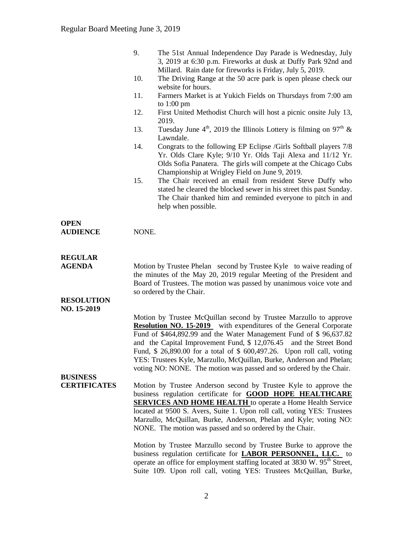|                                                      | 9.                                                                                                                                                                                                                                                                                                                                                                                                                                                                                                                   | The 51st Annual Independence Day Parade is Wednesday, July<br>3, 2019 at 6:30 p.m. Fireworks at dusk at Duffy Park 92nd and<br>Millard. Rain date for fireworks is Friday, July 5, 2019.                                                                                                                |  |
|------------------------------------------------------|----------------------------------------------------------------------------------------------------------------------------------------------------------------------------------------------------------------------------------------------------------------------------------------------------------------------------------------------------------------------------------------------------------------------------------------------------------------------------------------------------------------------|---------------------------------------------------------------------------------------------------------------------------------------------------------------------------------------------------------------------------------------------------------------------------------------------------------|--|
|                                                      | 10.                                                                                                                                                                                                                                                                                                                                                                                                                                                                                                                  | The Driving Range at the 50 acre park is open please check our<br>website for hours.                                                                                                                                                                                                                    |  |
|                                                      | 11.                                                                                                                                                                                                                                                                                                                                                                                                                                                                                                                  | Farmers Market is at Yukich Fields on Thursdays from 7:00 am<br>to $1:00 \text{ pm}$                                                                                                                                                                                                                    |  |
|                                                      | 12.                                                                                                                                                                                                                                                                                                                                                                                                                                                                                                                  | First United Methodist Church will host a picnic onsite July 13,<br>2019.                                                                                                                                                                                                                               |  |
|                                                      | 13.                                                                                                                                                                                                                                                                                                                                                                                                                                                                                                                  | Tuesday June $4^{\text{th}}$ , 2019 the Illinois Lottery is filming on 97 <sup>th</sup> &<br>Lawndale.                                                                                                                                                                                                  |  |
|                                                      | 14.                                                                                                                                                                                                                                                                                                                                                                                                                                                                                                                  | Congrats to the following EP Eclipse /Girls Softball players 7/8<br>Yr. Olds Clare Kyle; 9/10 Yr. Olds Taji Alexa and 11/12 Yr.<br>Olds Sofia Panatera. The girls will compete at the Chicago Cubs                                                                                                      |  |
|                                                      | 15.                                                                                                                                                                                                                                                                                                                                                                                                                                                                                                                  | Championship at Wrigley Field on June 9, 2019.<br>The Chair received an email from resident Steve Duffy who<br>stated he cleared the blocked sewer in his street this past Sunday.<br>The Chair thanked him and reminded everyone to pitch in and<br>help when possible.                                |  |
| <b>OPEN</b><br><b>AUDIENCE</b>                       | NONE.                                                                                                                                                                                                                                                                                                                                                                                                                                                                                                                |                                                                                                                                                                                                                                                                                                         |  |
| <b>REGULAR</b><br><b>AGENDA</b><br><b>RESOLUTION</b> | Motion by Trustee Phelan second by Trustee Kyle to waive reading of<br>the minutes of the May 20, 2019 regular Meeting of the President and<br>Board of Trustees. The motion was passed by unanimous voice vote and<br>so ordered by the Chair.                                                                                                                                                                                                                                                                      |                                                                                                                                                                                                                                                                                                         |  |
| NO. 15-2019                                          | Motion by Trustee McQuillan second by Trustee Marzullo to approve<br><b>Resolution NO. 15-2019</b> with expenditures of the General Corporate<br>Fund of \$464,892.99 and the Water Management Fund of \$96,637.82<br>and the Capital Improvement Fund, \$12,076.45<br>and the Street Bond<br>Fund, \$ 26,890.00 for a total of \$ 600,497.26. Upon roll call, voting<br>YES: Trustees Kyle, Marzullo, McQuillan, Burke, Anderson and Phelan;<br>voting NO: NONE. The motion was passed and so ordered by the Chair. |                                                                                                                                                                                                                                                                                                         |  |
| <b>BUSINESS</b><br><b>CERTIFICATES</b>               | Motion by Trustee Anderson second by Trustee Kyle to approve the<br>business regulation certificate for <b>GOOD HOPE HEALTHCARE</b><br><b>SERVICES AND HOME HEALTH</b> to operate a Home Health Service<br>located at 9500 S. Avers, Suite 1. Upon roll call, voting YES: Trustees<br>Marzullo, McQuillan, Burke, Anderson, Phelan and Kyle; voting NO:<br>NONE. The motion was passed and so ordered by the Chair.                                                                                                  |                                                                                                                                                                                                                                                                                                         |  |
|                                                      |                                                                                                                                                                                                                                                                                                                                                                                                                                                                                                                      | Motion by Trustee Marzullo second by Trustee Burke to approve the<br>business regulation certificate for <b>LABOR PERSONNEL</b> , LLC. to<br>operate an office for employment staffing located at 3830 W. 95 <sup>th</sup> Street,<br>Suite 109. Upon roll call, voting YES: Trustees McQuillan, Burke, |  |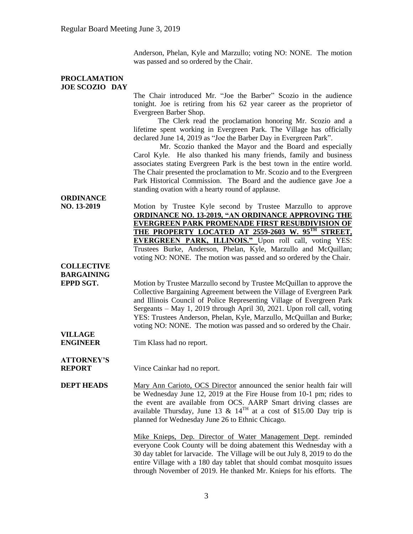Anderson, Phelan, Kyle and Marzullo; voting NO: NONE. The motion was passed and so ordered by the Chair.

## **PROCLAMATION JOE SCOZIO DAY** The Chair introduced Mr. "Joe the Barber" Scozio in the audience tonight. Joe is retiring from his 62 year career as the proprietor of Evergreen Barber Shop. The Clerk read the proclamation honoring Mr. Scozio and a lifetime spent working in Evergreen Park. The Village has officially declared June 14, 2019 as "Joe the Barber Day in Evergreen Park". Mr. Scozio thanked the Mayor and the Board and especially Carol Kyle. He also thanked his many friends, family and business associates stating Evergreen Park is the best town in the entire world. The Chair presented the proclamation to Mr. Scozio and to the Evergreen Park Historical Commission. The Board and the audience gave Joe a standing ovation with a hearty round of applause. **ORDINANCE NO. 13-2019** Motion by Trustee Kyle second by Trustee Marzullo to approve **ORDINANCE NO. 13-2019, "AN ORDINANCE APPROVING THE EVERGREEN PARK PROMENADE FIRST RESUBDIVISION OF THE PROPERTY LOCATED AT 2559-2603 W. 95TH STREET, EVERGREEN PARK, ILLINOIS."** Upon roll call, voting YES: Trustees Burke, Anderson, Phelan, Kyle, Marzullo and McQuillan; voting NO: NONE. The motion was passed and so ordered by the Chair. **COLLECTIVE BARGAINING EPPD SGT.** Motion by Trustee Marzullo second by Trustee McQuillan to approve the Collective Bargaining Agreement between the Village of Evergreen Park and Illinois Council of Police Representing Village of Evergreen Park Sergeants – May 1, 2019 through April 30, 2021. Upon roll call, voting YES: Trustees Anderson, Phelan, Kyle, Marzullo, McQuillan and Burke; voting NO: NONE. The motion was passed and so ordered by the Chair. **VILLAGE ENGINEER** Tim Klass had no report. **ATTORNEY'S REPORT** Vince Cainkar had no report. **DEPT HEADS** Mary Ann Carioto, OCS Director announced the senior health fair will be Wednesday June 12, 2019 at the Fire House from 10-1 pm; rides to the event are available from OCS. AARP Smart driving classes are available Thursday, June 13 &  $14^{TH}$  at a cost of \$15.00 Day trip is planned for Wednesday June 26 to Ethnic Chicago. Mike Knieps, Dep. Director of Water Management Dept. reminded everyone Cook County will be doing abatement this Wednesday with a 30 day tablet for larvacide. The Village will be out July 8, 2019 to do the entire Village with a 180 day tablet that should combat mosquito issues through November of 2019. He thanked Mr. Knieps for his efforts. The